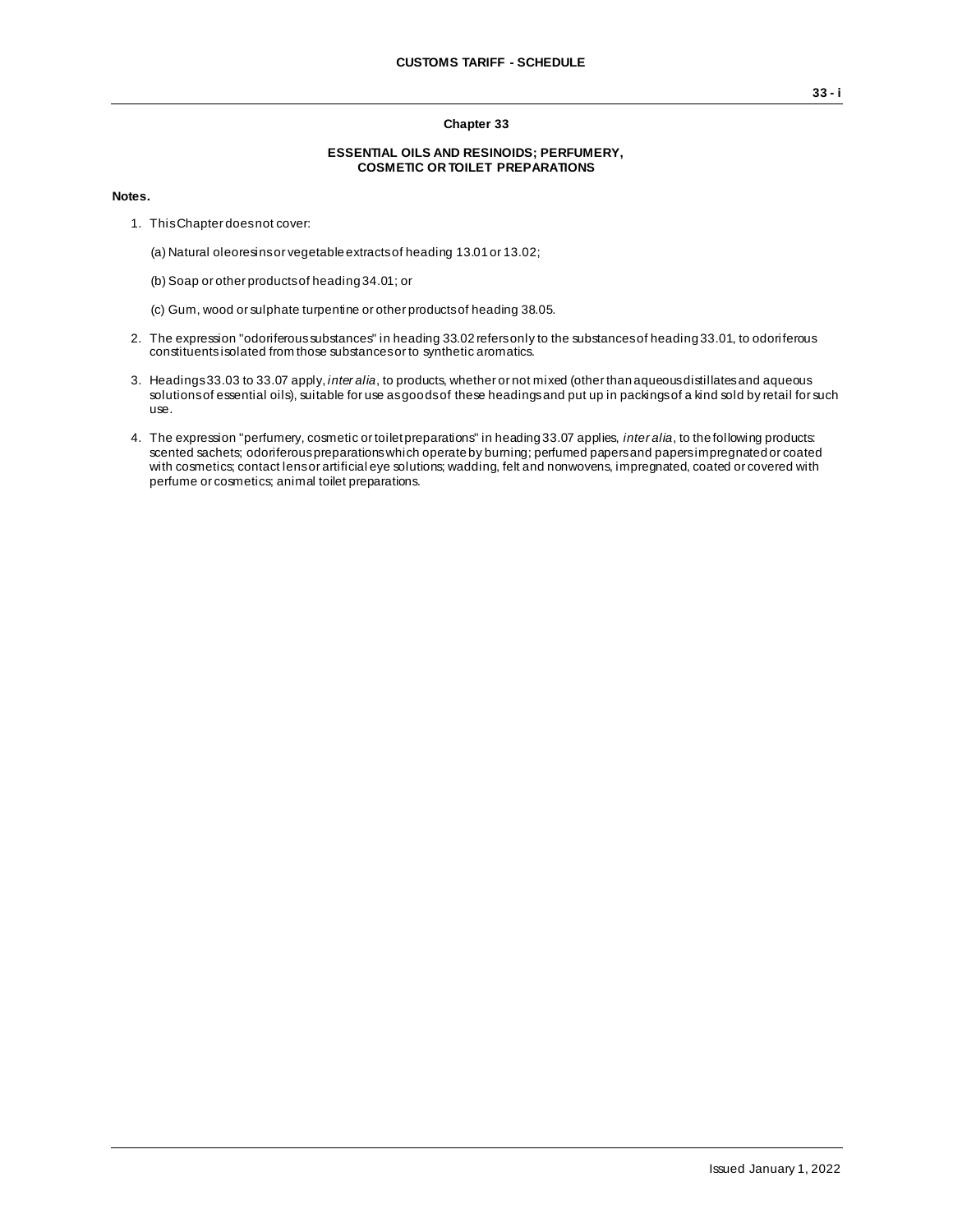## **Chapter 33**

## **ESSENTIAL OILS AND RESINOIDS; PERFUMERY, COSMETIC OR TOILET PREPARATIONS**

## **Notes.**

- 1. This Chapter does not cover:
	- (a) Natural oleoresins or vegetable extracts of heading 13.01 or 13.02;
	- (b) Soap or other products of heading 34.01; or
	- (c) Gum, wood or sulphate turpentine or other products of heading 38.05.
- 2. The expression "odoriferous substances" in heading 33.02 refers only to the substances of heading 33.01, to odoriferous constituentsisolated from those substances or to synthetic aromatics.
- 3. Headings 33.03 to 33.07 apply, *inter alia*, to products, whether or not mixed (other than aqueous distillates and aqueous solutions of essential oils), suitable for use as goods of these headings and put up in packings of a kind sold by retail for such use.
- 4. The expression "perfumery, cosmetic or toilet preparations" in heading 33.07 applies, *inter alia*, to the following products: scented sachets; odoriferous preparations which operate by burning; perfumed papers and papers impregnated or coated with cosmetics; contact lens or artificial eye solutions; wadding, felt and nonwovens, impregnated, coated or covered with perfume or cosmetics; animal toilet preparations.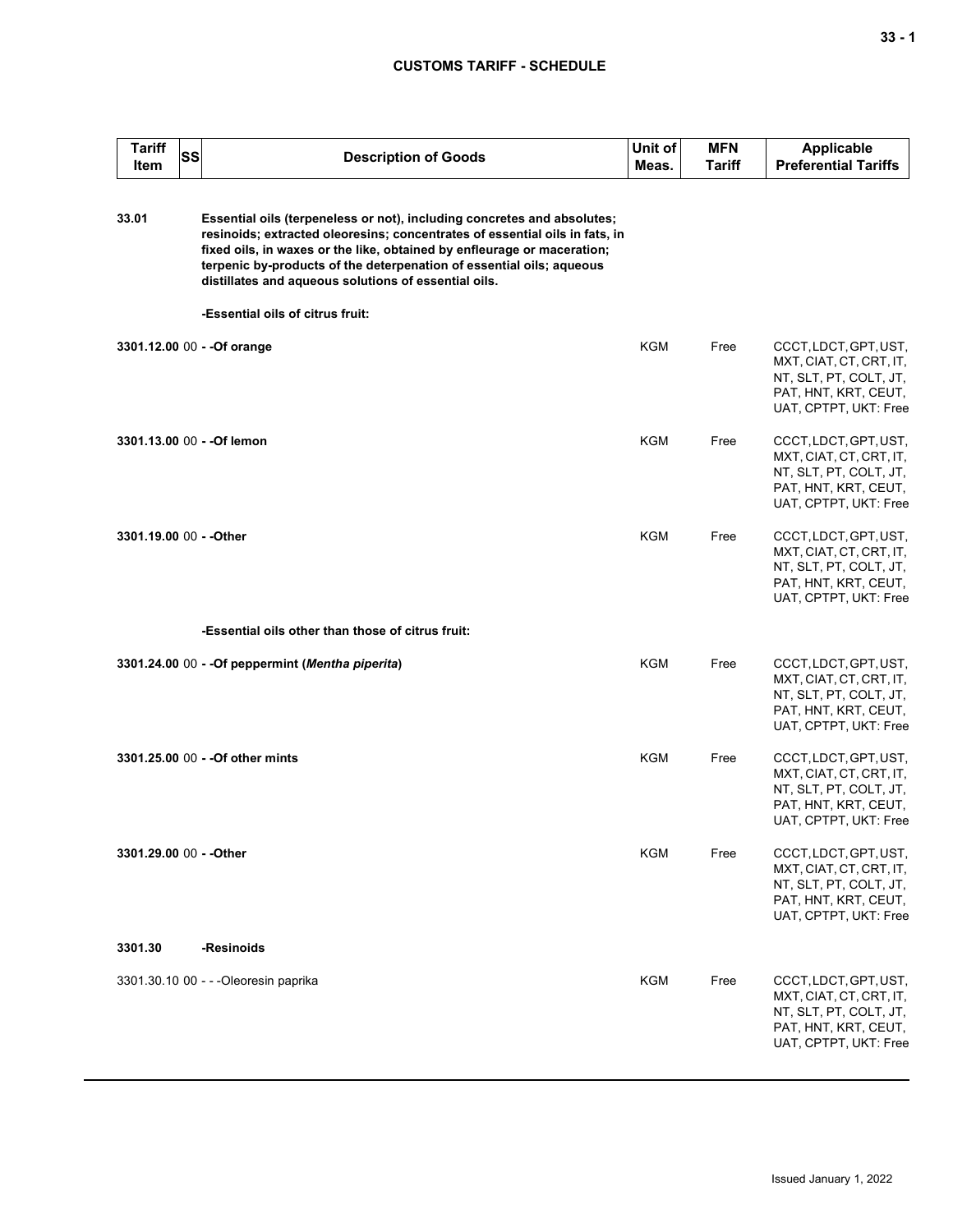## **CUSTOMS TARIFF - SCHEDULE**

| <b>Tariff</b><br><b>Item</b> | <b>SS</b> | <b>Description of Goods</b>                                                                                                                                                                                                                                                                                                                                       | Unit of<br>Meas. | <b>MFN</b><br><b>Tariff</b> | <b>Applicable</b><br><b>Preferential Tariffs</b>                                                                            |
|------------------------------|-----------|-------------------------------------------------------------------------------------------------------------------------------------------------------------------------------------------------------------------------------------------------------------------------------------------------------------------------------------------------------------------|------------------|-----------------------------|-----------------------------------------------------------------------------------------------------------------------------|
| 33.01                        |           | Essential oils (terpeneless or not), including concretes and absolutes;<br>resinoids; extracted oleoresins; concentrates of essential oils in fats, in<br>fixed oils, in waxes or the like, obtained by enfleurage or maceration;<br>terpenic by-products of the deterpenation of essential oils; aqueous<br>distillates and aqueous solutions of essential oils. |                  |                             |                                                                                                                             |
|                              |           | -Essential oils of citrus fruit:                                                                                                                                                                                                                                                                                                                                  |                  |                             |                                                                                                                             |
|                              |           | 3301.12.00 00 - - Of orange                                                                                                                                                                                                                                                                                                                                       | <b>KGM</b>       | Free                        | CCCT, LDCT, GPT, UST,<br>MXT, CIAT, CT, CRT, IT,<br>NT, SLT, PT, COLT, JT,<br>PAT, HNT, KRT, CEUT,<br>UAT, CPTPT, UKT: Free |
|                              |           | 3301.13.00 00 - - Of lemon                                                                                                                                                                                                                                                                                                                                        | <b>KGM</b>       | Free                        | CCCT, LDCT, GPT, UST,<br>MXT, CIAT, CT, CRT, IT,<br>NT, SLT, PT, COLT, JT,<br>PAT, HNT, KRT, CEUT,<br>UAT, CPTPT, UKT: Free |
| 3301.19.00 00 - - Other      |           |                                                                                                                                                                                                                                                                                                                                                                   | <b>KGM</b>       | Free                        | CCCT, LDCT, GPT, UST,<br>MXT, CIAT, CT, CRT, IT,<br>NT, SLT, PT, COLT, JT,<br>PAT, HNT, KRT, CEUT,<br>UAT, CPTPT, UKT: Free |
|                              |           | -Essential oils other than those of citrus fruit:                                                                                                                                                                                                                                                                                                                 |                  |                             |                                                                                                                             |
|                              |           | 3301.24.00 00 - - Of peppermint (Mentha piperita)                                                                                                                                                                                                                                                                                                                 | <b>KGM</b>       | Free                        | CCCT, LDCT, GPT, UST,<br>MXT, CIAT, CT, CRT, IT,<br>NT, SLT, PT, COLT, JT,<br>PAT, HNT, KRT, CEUT,<br>UAT, CPTPT, UKT: Free |
|                              |           | 3301.25.00 00 - - Of other mints                                                                                                                                                                                                                                                                                                                                  | <b>KGM</b>       | Free                        | CCCT, LDCT, GPT, UST,<br>MXT, CIAT, CT, CRT, IT,<br>NT, SLT, PT, COLT, JT,<br>PAT, HNT, KRT, CEUT,<br>UAT, CPTPT, UKT: Free |
| 3301.29.00 00 - - Other      |           |                                                                                                                                                                                                                                                                                                                                                                   | <b>KGM</b>       | Free                        | CCCT, LDCT, GPT, UST,<br>MXT, CIAT, CT, CRT, IT,<br>NT, SLT, PT, COLT, JT,<br>PAT, HNT, KRT, CEUT,<br>UAT, CPTPT, UKT: Free |
| 3301.30                      |           | -Resinoids                                                                                                                                                                                                                                                                                                                                                        |                  |                             |                                                                                                                             |
|                              |           | 3301.30.10 00 - - - Oleoresin paprika                                                                                                                                                                                                                                                                                                                             | <b>KGM</b>       | Free                        | CCCT, LDCT, GPT, UST,<br>MXT, CIAT, CT, CRT, IT,<br>NT, SLT, PT, COLT, JT,<br>PAT, HNT, KRT, CEUT,<br>UAT, CPTPT, UKT: Free |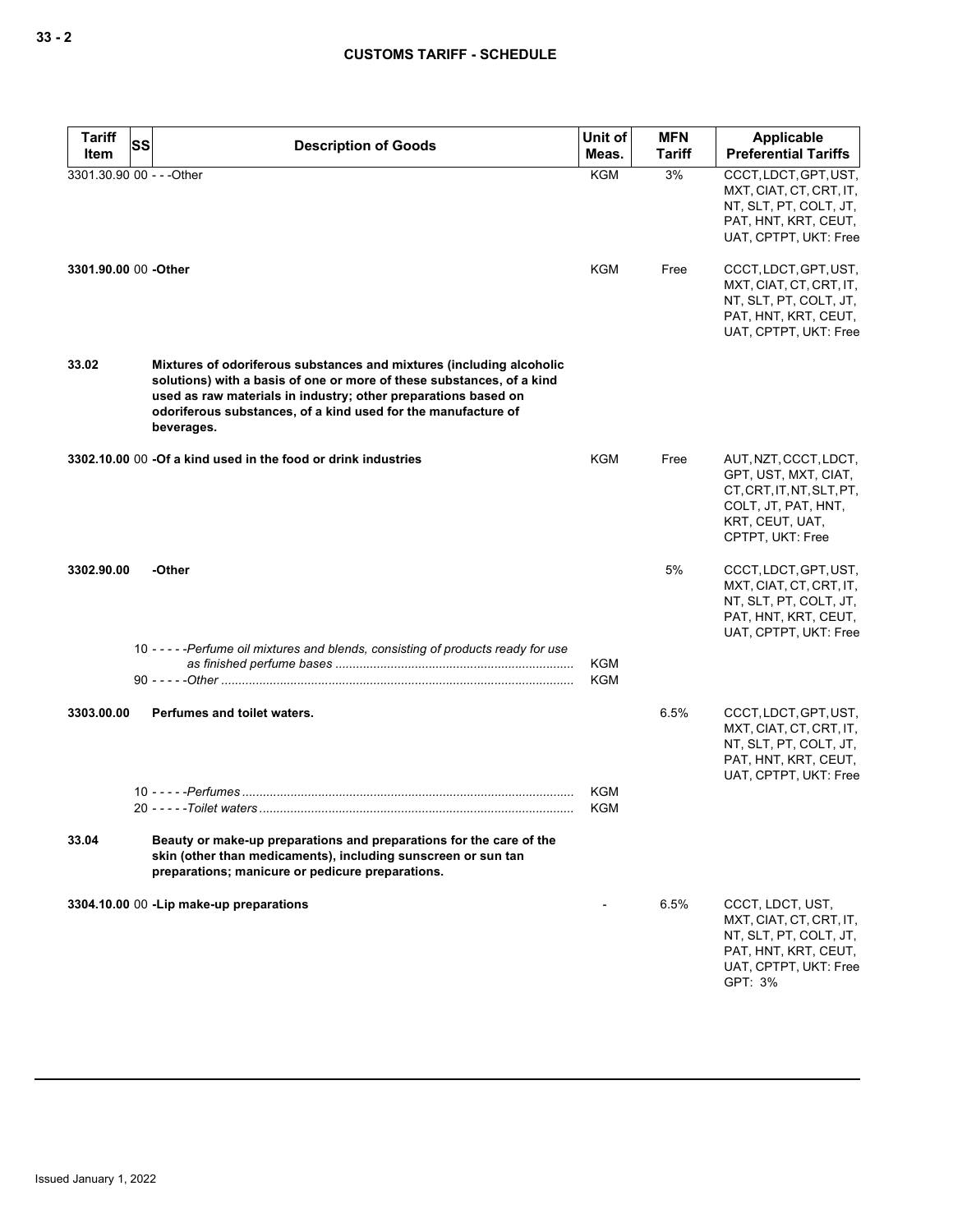| <b>Tariff</b><br>Item     | SS | <b>Description of Goods</b>                                                                                                                                                                                                                                                                    | Unit of<br>Meas.         | <b>MFN</b><br><b>Tariff</b> | <b>Applicable</b><br><b>Preferential Tariffs</b>                                                                                         |
|---------------------------|----|------------------------------------------------------------------------------------------------------------------------------------------------------------------------------------------------------------------------------------------------------------------------------------------------|--------------------------|-----------------------------|------------------------------------------------------------------------------------------------------------------------------------------|
| 3301.30.90 00 - - - Other |    |                                                                                                                                                                                                                                                                                                | <b>KGM</b>               | 3%                          | CCCT, LDCT, GPT, UST,<br>MXT, CIAT, CT, CRT, IT,<br>NT, SLT, PT, COLT, JT,<br>PAT, HNT, KRT, CEUT,<br>UAT, CPTPT, UKT: Free              |
| 3301.90.00 00 - Other     |    |                                                                                                                                                                                                                                                                                                | <b>KGM</b>               | Free                        | CCCT, LDCT, GPT, UST,<br>MXT, CIAT, CT, CRT, IT,<br>NT, SLT, PT, COLT, JT,<br>PAT, HNT, KRT, CEUT,<br>UAT, CPTPT, UKT: Free              |
| 33.02                     |    | Mixtures of odoriferous substances and mixtures (including alcoholic<br>solutions) with a basis of one or more of these substances, of a kind<br>used as raw materials in industry; other preparations based on<br>odoriferous substances, of a kind used for the manufacture of<br>beverages. |                          |                             |                                                                                                                                          |
|                           |    | 3302.10.00 00 -Of a kind used in the food or drink industries                                                                                                                                                                                                                                  | <b>KGM</b>               | Free                        | AUT, NZT, CCCT, LDCT,<br>GPT, UST, MXT, CIAT,<br>CT, CRT, IT, NT, SLT, PT,<br>COLT, JT, PAT, HNT,<br>KRT, CEUT, UAT,<br>CPTPT, UKT: Free |
| 3302.90.00                |    | -Other                                                                                                                                                                                                                                                                                         |                          | 5%                          | CCCT, LDCT, GPT, UST,<br>MXT, CIAT, CT, CRT, IT,<br>NT, SLT, PT, COLT, JT,<br>PAT, HNT, KRT, CEUT,<br>UAT, CPTPT, UKT: Free              |
|                           |    | 10 - - - - - Perfume oil mixtures and blends, consisting of products ready for use                                                                                                                                                                                                             | KGM<br><b>KGM</b>        |                             |                                                                                                                                          |
| 3303.00.00                |    | Perfumes and toilet waters.                                                                                                                                                                                                                                                                    |                          | 6.5%                        | CCCT, LDCT, GPT, UST,<br>MXT, CIAT, CT, CRT, IT,<br>NT, SLT, PT, COLT, JT,<br>PAT, HNT, KRT, CEUT,<br>UAT, CPTPT, UKT: Free              |
|                           |    |                                                                                                                                                                                                                                                                                                | <b>KGM</b><br><b>KGM</b> |                             |                                                                                                                                          |
| 33.04                     |    | Beauty or make-up preparations and preparations for the care of the<br>skin (other than medicaments), including sunscreen or sun tan<br>preparations; manicure or pedicure preparations.                                                                                                       |                          |                             |                                                                                                                                          |
|                           |    | 3304.10.00 00 -Lip make-up preparations                                                                                                                                                                                                                                                        |                          | 6.5%                        | CCCT, LDCT, UST,<br>MXT, CIAT, CT, CRT, IT,<br>NT, SLT, PT, COLT, JT,<br>PAT, HNT, KRT, CEUT,<br>UAT, CPTPT, UKT: Free<br>GPT: 3%        |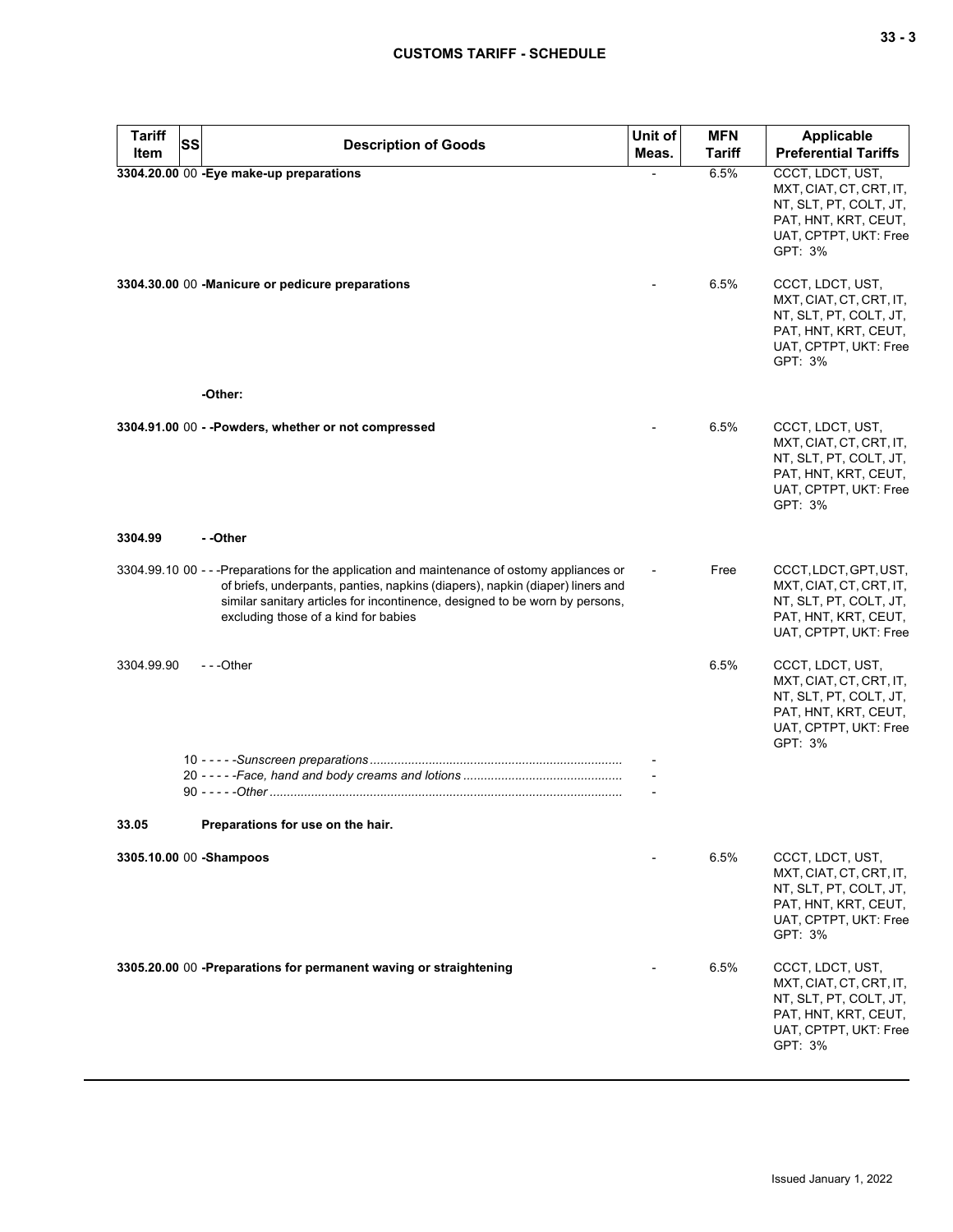| v<br>$-$ |  | v<br>۰. |
|----------|--|---------|
|----------|--|---------|

| <b>Tariff</b><br>Item | <b>SS</b> | <b>Description of Goods</b>                                                                                                                                                                                                                                                                         | Unit of<br>Meas. | <b>MFN</b><br>Tariff | <b>Applicable</b><br><b>Preferential Tariffs</b>                                                                                  |
|-----------------------|-----------|-----------------------------------------------------------------------------------------------------------------------------------------------------------------------------------------------------------------------------------------------------------------------------------------------------|------------------|----------------------|-----------------------------------------------------------------------------------------------------------------------------------|
|                       |           | 3304.20.00 00 - Eye make-up preparations                                                                                                                                                                                                                                                            |                  | 6.5%                 | CCCT, LDCT, UST,                                                                                                                  |
|                       |           |                                                                                                                                                                                                                                                                                                     |                  |                      | MXT, CIAT, CT, CRT, IT,<br>NT, SLT, PT, COLT, JT,<br>PAT, HNT, KRT, CEUT,<br>UAT, CPTPT, UKT: Free<br>GPT: 3%                     |
|                       |           | 3304.30.00 00 -Manicure or pedicure preparations<br>-Other:                                                                                                                                                                                                                                         |                  | 6.5%                 | CCCT, LDCT, UST,<br>MXT, CIAT, CT, CRT, IT,<br>NT, SLT, PT, COLT, JT,<br>PAT, HNT, KRT, CEUT,<br>UAT, CPTPT, UKT: Free<br>GPT: 3% |
|                       |           |                                                                                                                                                                                                                                                                                                     |                  |                      |                                                                                                                                   |
|                       |           | 3304.91.00 00 - - Powders, whether or not compressed                                                                                                                                                                                                                                                |                  | 6.5%                 | CCCT, LDCT, UST,<br>MXT, CIAT, CT, CRT, IT,<br>NT, SLT, PT, COLT, JT,<br>PAT, HNT, KRT, CEUT,<br>UAT, CPTPT, UKT: Free<br>GPT: 3% |
| 3304.99               |           | - -Other                                                                                                                                                                                                                                                                                            |                  |                      |                                                                                                                                   |
|                       |           | 3304.99.10 00 - - -Preparations for the application and maintenance of ostomy appliances or<br>of briefs, underpants, panties, napkins (diapers), napkin (diaper) liners and<br>similar sanitary articles for incontinence, designed to be worn by persons,<br>excluding those of a kind for babies |                  | Free                 | CCCT, LDCT, GPT, UST,<br>MXT, CIAT, CT, CRT, IT,<br>NT, SLT, PT, COLT, JT,<br>PAT, HNT, KRT, CEUT,<br>UAT, CPTPT, UKT: Free       |
| 3304.99.90            |           | ---Other                                                                                                                                                                                                                                                                                            |                  | 6.5%                 | CCCT, LDCT, UST,<br>MXT, CIAT, CT, CRT, IT,<br>NT, SLT, PT, COLT, JT,<br>PAT, HNT, KRT, CEUT,<br>UAT, CPTPT, UKT: Free<br>GPT: 3% |
|                       |           |                                                                                                                                                                                                                                                                                                     |                  |                      |                                                                                                                                   |
|                       |           |                                                                                                                                                                                                                                                                                                     |                  |                      |                                                                                                                                   |
| 33.05                 |           | Preparations for use on the hair.                                                                                                                                                                                                                                                                   |                  |                      |                                                                                                                                   |
|                       |           | 3305.10.00 00 - Shampoos                                                                                                                                                                                                                                                                            |                  | 6.5%                 | CCCT, LDCT, UST,<br>MXT, CIAT, CT, CRT, IT,<br>NT, SLT, PT, COLT, JT,<br>PAT, HNT, KRT, CEUT,<br>UAT, CPTPT, UKT: Free<br>GPT: 3% |
|                       |           | 3305.20.00 00 -Preparations for permanent waving or straightening                                                                                                                                                                                                                                   |                  | 6.5%                 | CCCT, LDCT, UST,<br>MXT, CIAT, CT, CRT, IT,<br>NT, SLT, PT, COLT, JT,<br>PAT, HNT, KRT, CEUT,<br>UAT, CPTPT, UKT: Free<br>GPT: 3% |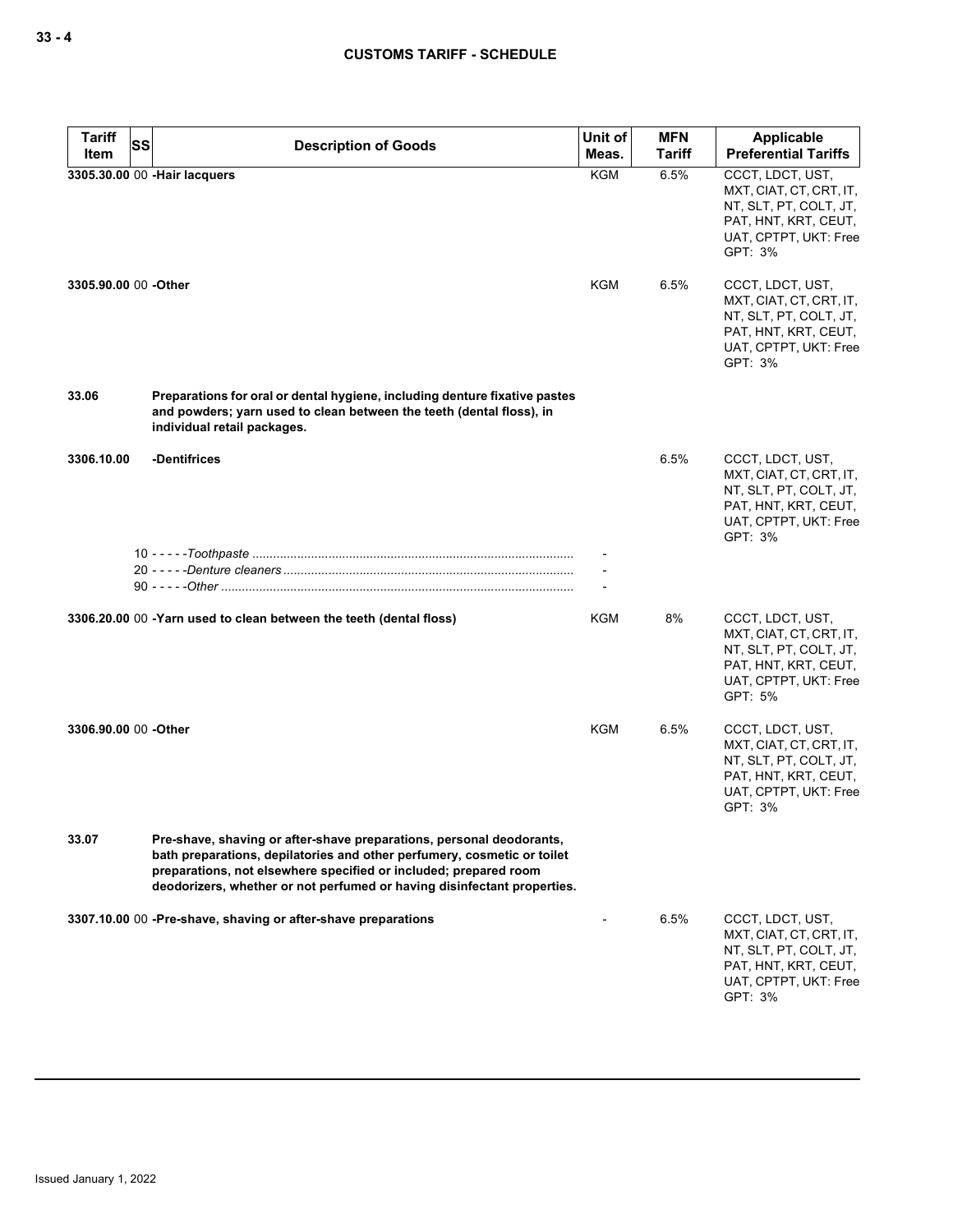| <b>Tariff</b><br><b>SS</b><br>Item | <b>Description of Goods</b>                                                                                                                                                                                                                                                                    | Unit of<br>Meas. | <b>MFN</b><br><b>Tariff</b> | <b>Applicable</b><br><b>Preferential Tariffs</b>                                                                                  |
|------------------------------------|------------------------------------------------------------------------------------------------------------------------------------------------------------------------------------------------------------------------------------------------------------------------------------------------|------------------|-----------------------------|-----------------------------------------------------------------------------------------------------------------------------------|
|                                    | 3305.30.00 00 - Hair lacquers                                                                                                                                                                                                                                                                  | <b>KGM</b>       | 6.5%                        | CCCT, LDCT, UST,<br>MXT, CIAT, CT, CRT, IT,<br>NT, SLT, PT, COLT, JT,<br>PAT, HNT, KRT, CEUT,<br>UAT, CPTPT, UKT: Free<br>GPT: 3% |
| 3305.90.00 00 - Other              |                                                                                                                                                                                                                                                                                                | KGM              | 6.5%                        | CCCT, LDCT, UST,<br>MXT, CIAT, CT, CRT, IT,<br>NT, SLT, PT, COLT, JT,<br>PAT, HNT, KRT, CEUT,<br>UAT, CPTPT, UKT: Free<br>GPT: 3% |
| 33.06                              | Preparations for oral or dental hygiene, including denture fixative pastes<br>and powders; yarn used to clean between the teeth (dental floss), in<br>individual retail packages.                                                                                                              |                  |                             |                                                                                                                                   |
| 3306.10.00                         | -Dentifrices                                                                                                                                                                                                                                                                                   |                  | 6.5%                        | CCCT, LDCT, UST,<br>MXT, CIAT, CT, CRT, IT,<br>NT, SLT, PT, COLT, JT,<br>PAT, HNT, KRT, CEUT,<br>UAT, CPTPT, UKT: Free<br>GPT: 3% |
|                                    |                                                                                                                                                                                                                                                                                                |                  |                             |                                                                                                                                   |
|                                    |                                                                                                                                                                                                                                                                                                |                  |                             |                                                                                                                                   |
|                                    | 3306.20.00 00 -Yarn used to clean between the teeth (dental floss)                                                                                                                                                                                                                             | KGM              | 8%                          | CCCT, LDCT, UST,<br>MXT, CIAT, CT, CRT, IT,<br>NT, SLT, PT, COLT, JT,<br>PAT, HNT, KRT, CEUT,<br>UAT, CPTPT, UKT: Free<br>GPT: 5% |
| 3306.90.00 00 -Other               |                                                                                                                                                                                                                                                                                                | KGM              | 6.5%                        | CCCT, LDCT, UST,<br>MXT, CIAT, CT, CRT, IT,<br>NT, SLT, PT, COLT, JT,<br>PAT, HNT, KRT, CEUT,<br>UAT, CPTPT, UKT: Free<br>GPT: 3% |
| 33.07                              | Pre-shave, shaving or after-shave preparations, personal deodorants,<br>bath preparations, depilatories and other perfumery, cosmetic or toilet<br>preparations, not elsewhere specified or included; prepared room<br>deodorizers, whether or not perfumed or having disinfectant properties. |                  |                             |                                                                                                                                   |
|                                    | 3307.10.00 00 -Pre-shave, shaving or after-shave preparations                                                                                                                                                                                                                                  |                  | 6.5%                        | CCCT, LDCT, UST,<br>MXT, CIAT, CT, CRT, IT,<br>NT, SLT, PT, COLT, JT,<br>PAT, HNT, KRT, CEUT,<br>UAT, CPTPT, UKT: Free<br>GPT: 3% |